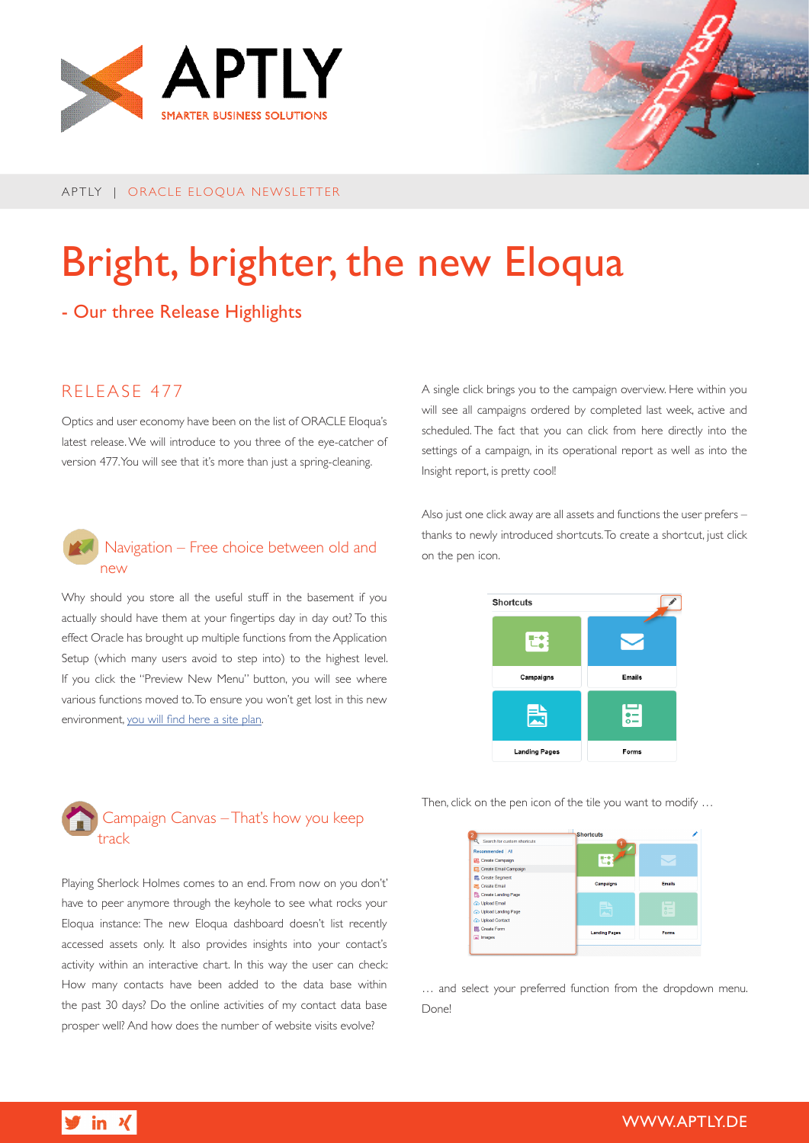

APTLY | ORACLE ELOQUA NEWSLETTER

# Bright, brighter, the new Eloqua

# - Our three Release Highlights

## RELEASE 477

Optics and user economy have been on the list of ORACLE Eloqua's latest release. We will introduce to you three of the eye-catcher of version 477. You will see that it's more than just a spring-cleaning.

#### **A** Navigation – Free choice between old and new

Why should you store all the useful stuff in the basement if you actually should have them at your fingertips day in day out? To this effect Oracle has brought up multiple functions from the Application Setup (which many users avoid to step into) to the highest level. If you click the "Preview New Menu" button, you will see where various functions moved to. To ensure you won't get lost in this new environment, [you will find here a site plan](http://www.aptly.de/download/aptly_eloqua_newsletter_EN.png).



Playing Sherlock Holmes comes to an end. From now on you don't' have to peer anymore through the keyhole to see what rocks your Eloqua instance: The new Eloqua dashboard doesn't list recently accessed assets only. It also provides insights into your contact's activity within an interactive chart. In this way the user can check: How many contacts have been added to the data base within the past 30 days? Do the online activities of my contact data base prosper well? And how does the number of website visits evolve?

A single click brings you to the campaign overview. Here within you will see all campaigns ordered by completed last week, active and scheduled. The fact that you can click from here directly into the settings of a campaign, in its operational report as well as into the Insight report, is pretty cool!

Also just one click away are all assets and functions the user prefers – thanks to newly introduced shortcuts. To create a shortcut, just click on the pen icon.

| <b>Shortcuts</b>     |                |
|----------------------|----------------|
|                      |                |
| Campaigns            | <b>Emails</b>  |
| 阌                    | $\overline{ }$ |
| <b>Landing Pages</b> | Forms          |

Then, click on the pen icon of the tile you want to modify …



… and select your preferred function from the dropdown menu. Done!